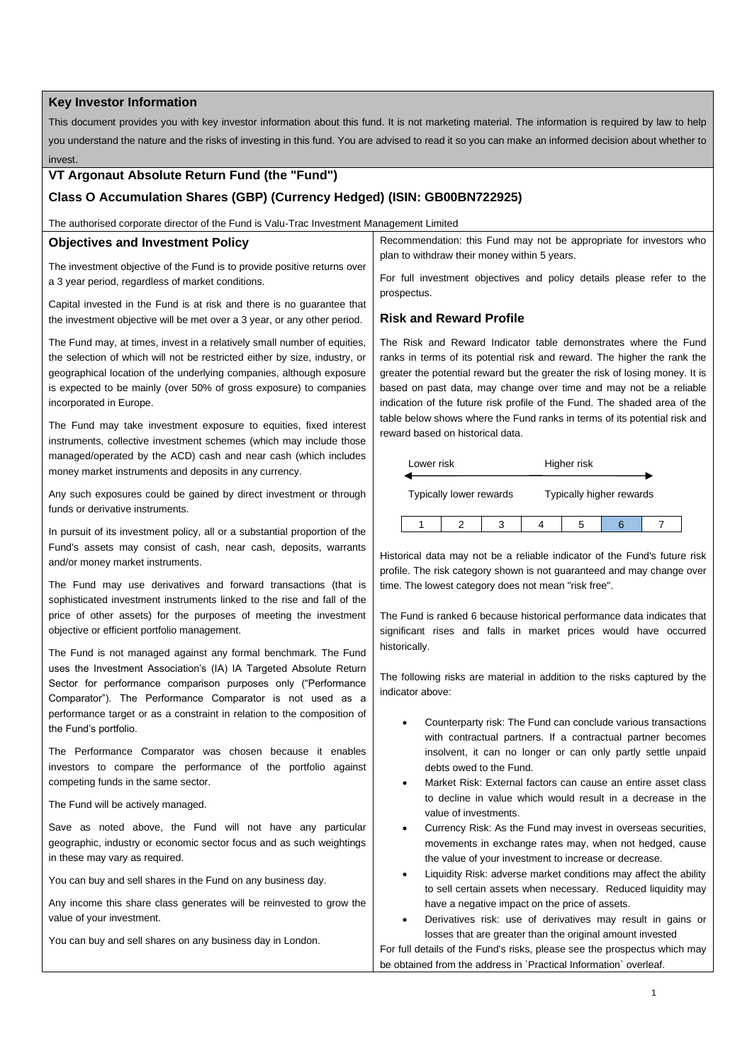## **Key Investor Information**

This document provides you with key investor information about this fund. It is not marketing material. The information is required by law to help you understand the nature and the risks of investing in this fund. You are advised to read it so you can make an informed decision about whether to invest.

# **VT Argonaut Absolute Return Fund (the "Fund")**

# **Class O Accumulation Shares (GBP) (Currency Hedged) (ISIN: GB00BN722925)**

The authorised corporate director of the Fund is Valu-Trac Investment Management Limited

### **Objectives and Investment Policy**

The investment objective of the Fund is to provide positive returns over a 3 year period, regardless of market conditions.

Capital invested in the Fund is at risk and there is no guarantee that the investment objective will be met over a 3 year, or any other period.

The Fund may, at times, invest in a relatively small number of equities, the selection of which will not be restricted either by size, industry, or geographical location of the underlying companies, although exposure is expected to be mainly (over 50% of gross exposure) to companies incorporated in Europe.

The Fund may take investment exposure to equities, fixed interest instruments, collective investment schemes (which may include those managed/operated by the ACD) cash and near cash (which includes money market instruments and deposits in any currency.

Any such exposures could be gained by direct investment or through funds or derivative instruments.

In pursuit of its investment policy, all or a substantial proportion of the Fund's assets may consist of cash, near cash, deposits, warrants and/or money market instruments.

The Fund may use derivatives and forward transactions (that is sophisticated investment instruments linked to the rise and fall of the price of other assets) for the purposes of meeting the investment objective or efficient portfolio management.

The Fund is not managed against any formal benchmark. The Fund uses the Investment Association's (IA) IA Targeted Absolute Return Sector for performance comparison purposes only ("Performance Comparator"). The Performance Comparator is not used as a performance target or as a constraint in relation to the composition of the Fund's portfolio.

The Performance Comparator was chosen because it enables investors to compare the performance of the portfolio against competing funds in the same sector.

The Fund will be actively managed.

Save as noted above, the Fund will not have any particular geographic, industry or economic sector focus and as such weightings in these may vary as required.

You can buy and sell shares in the Fund on any business day.

Any income this share class generates will be reinvested to grow the value of your investment.

You can buy and sell shares on any business day in London.

Recommendation: this Fund may not be appropriate for investors who plan to withdraw their money within 5 years.

For full investment objectives and policy details please refer to the prospectus.

### **Risk and Reward Profile**

The Risk and Reward Indicator table demonstrates where the Fund ranks in terms of its potential risk and reward. The higher the rank the greater the potential reward but the greater the risk of losing money. It is based on past data, may change over time and may not be a reliable indication of the future risk profile of the Fund. The shaded area of the table below shows where the Fund ranks in terms of its potential risk and reward based on historical data.



Historical data may not be a reliable indicator of the Fund's future risk profile. The risk category shown is not guaranteed and may change over time. The lowest category does not mean "risk free".

The Fund is ranked 6 because historical performance data indicates that significant rises and falls in market prices would have occurred historically.

The following risks are material in addition to the risks captured by the indicator above:

- Counterparty risk: The Fund can conclude various transactions with contractual partners. If a contractual partner becomes insolvent, it can no longer or can only partly settle unpaid debts owed to the Fund.
- Market Risk: External factors can cause an entire asset class to decline in value which would result in a decrease in the value of investments.
- Currency Risk: As the Fund may invest in overseas securities, movements in exchange rates may, when not hedged, cause the value of your investment to increase or decrease.
- Liquidity Risk: adverse market conditions may affect the ability to sell certain assets when necessary. Reduced liquidity may have a negative impact on the price of assets.
- Derivatives risk: use of derivatives may result in gains or losses that are greater than the original amount invested

For full details of the Fund's risks, please see the prospectus which may be obtained from the address in `Practical Information` overleaf.